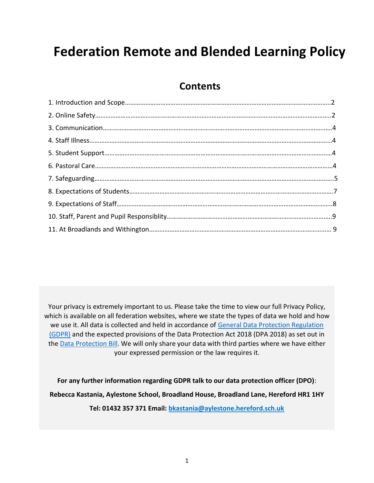# **Federation Remote and Blended Learning Policy**

# **Contents**

Your privacy is extremely important to us. Please take the time to view our full Privacy Policy, which is available on all federation websites, where we state the types of data we hold and how we use it. All data is collected and held in accordance of General Data Protection Regulation [\(GDPR\)](http://data.consilium.europa.eu/doc/document/ST-5419-2016-INIT/en/pdf) and the expected provisions of the Data Protection Act 2018 (DPA 2018) as set out in the [Data Protection Bill.](https://publications.parliament.uk/pa/bills/cbill/2017-2019/0153/18153.pdf) We will only share your data with third parties where we have either your expressed permission or the law requires it.

**For any further information regarding GDPR talk to our data protection officer (DPO)**: **Rebecca Kastania, Aylestone School, Broadland House, Broadland Lane, Hereford HR1 1HY Tel: 01432 357 371 Email: [bkastania@aylestone.hereford.sch.uk](mailto:bkastania@aylestone.hereford.sch.uk)**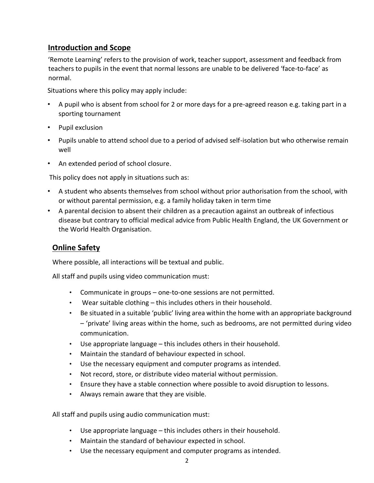# **Introduction and Scope**

'Remote Learning' refers to the provision of work, teacher support, assessment and feedback from teachers to pupils in the event that normal lessons are unable to be delivered 'face-to-face' as normal.

Situations where this policy may apply include:

- A pupil who is absent from school for 2 or more days for a pre-agreed reason e.g. taking part in a sporting tournament
- Pupil exclusion
- Pupils unable to attend school due to a period of advised self-isolation but who otherwise remain well
- An extended period of school closure.

This policy does not apply in situations such as:

- A student who absents themselves from school without prior authorisation from the school, with or without parental permission, e.g. a family holiday taken in term time
- A parental decision to absent their children as a precaution against an outbreak of infectious disease but contrary to official medical advice from Public Health England, the UK Government or the World Health Organisation.

# **Online Safety**

Where possible, all interactions will be textual and public.

All staff and pupils using video communication must:

- Communicate in groups one-to-one sessions are not permitted.
- Wear suitable clothing  $-$  this includes others in their household.
- Be situated in a suitable 'public' living area within the home with an appropriate background – 'private' living areas within the home, such as bedrooms, are not permitted during video communication.
- Use appropriate language this includes others in their household.
- Maintain the standard of behaviour expected in school.
- Use the necessary equipment and computer programs as intended.
- Not record, store, or distribute video material without permission.
- Ensure they have a stable connection where possible to avoid disruption to lessons.
- Always remain aware that they are visible.

All staff and pupils using audio communication must:

- Use appropriate language this includes others in their household.
- Maintain the standard of behaviour expected in school.
- Use the necessary equipment and computer programs as intended.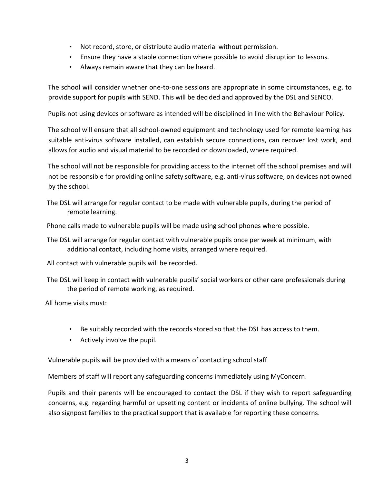- Not record, store, or distribute audio material without permission.
- Ensure they have a stable connection where possible to avoid disruption to lessons.
- Always remain aware that they can be heard.

The school will consider whether one-to-one sessions are appropriate in some circumstances, e.g. to provide support for pupils with SEND. This will be decided and approved by the DSL and SENCO.

Pupils not using devices or software as intended will be disciplined in line with the Behaviour Policy.

The school will ensure that all school-owned equipment and technology used for remote learning has suitable anti-virus software installed, can establish secure connections, can recover lost work, and allows for audio and visual material to be recorded or downloaded, where required.

The school will not be responsible for providing access to the internet off the school premises and will not be responsible for providing online safety software, e.g. anti-virus software, on devices not owned by the school.

The DSL will arrange for regular contact to be made with vulnerable pupils, during the period of remote learning.

Phone calls made to vulnerable pupils will be made using school phones where possible.

The DSL will arrange for regular contact with vulnerable pupils once per week at minimum, with additional contact, including home visits, arranged where required.

All contact with vulnerable pupils will be recorded.

The DSL will keep in contact with vulnerable pupils' social workers or other care professionals during the period of remote working, as required.

All home visits must:

- Be suitably recorded with the records stored so that the DSL has access to them.
- Actively involve the pupil.

Vulnerable pupils will be provided with a means of contacting school staff

Members of staff will report any safeguarding concerns immediately using MyConcern.

Pupils and their parents will be encouraged to contact the DSL if they wish to report safeguarding concerns, e.g. regarding harmful or upsetting content or incidents of online bullying. The school will also signpost families to the practical support that is available for reporting these concerns.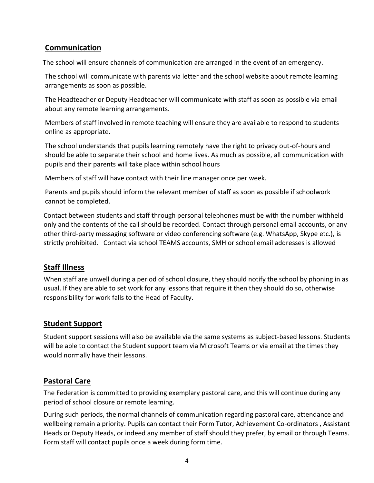# **Communication**

The school will ensure channels of communication are arranged in the event of an emergency.

The school will communicate with parents via letter and the school website about remote learning arrangements as soon as possible.

The Headteacher or Deputy Headteacher will communicate with staff as soon as possible via email about any remote learning arrangements.

Members of staff involved in remote teaching will ensure they are available to respond to students online as appropriate.

The school understands that pupils learning remotely have the right to privacy out-of-hours and should be able to separate their school and home lives. As much as possible, all communication with pupils and their parents will take place within school hours

Members of staff will have contact with their line manager once per week.

Parents and pupils should inform the relevant member of staff as soon as possible if schoolwork cannot be completed.

Contact between students and staff through personal telephones must be with the number withheld only and the contents of the call should be recorded. Contact through personal email accounts, or any other third-party messaging software or video conferencing software (e.g. WhatsApp, Skype etc.), is strictly prohibited. Contact via school TEAMS accounts, SMH or school email addresses is allowed

# **Staff Illness**

When staff are unwell during a period of school closure, they should notify the school by phoning in as usual. If they are able to set work for any lessons that require it then they should do so, otherwise responsibility for work falls to the Head of Faculty.

# **Student Support**

Student support sessions will also be available via the same systems as subject-based lessons. Students will be able to contact the Student support team via Microsoft Teams or via email at the times they would normally have their lessons.

# **Pastoral Care**

The Federation is committed to providing exemplary pastoral care, and this will continue during any period of school closure or remote learning.

During such periods, the normal channels of communication regarding pastoral care, attendance and wellbeing remain a priority. Pupils can contact their Form Tutor, Achievement Co-ordinators , Assistant Heads or Deputy Heads, or indeed any member of staff should they prefer, by email or through Teams. Form staff will contact pupils once a week during form time.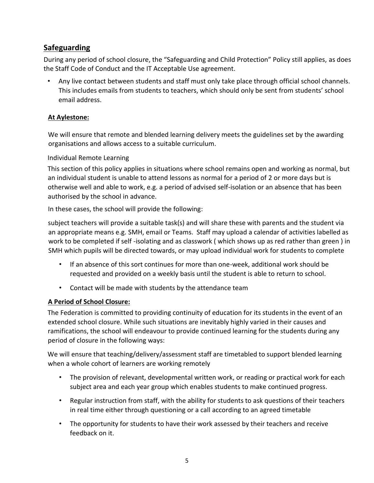# **Safeguarding**

During any period of school closure, the "Safeguarding and Child Protection" Policy still applies, as does the Staff Code of Conduct and the IT Acceptable Use agreement.

• Any live contact between students and staff must only take place through official school channels. This includes emails from students to teachers, which should only be sent from students' school email address.

# **At Aylestone:**

We will ensure that remote and blended learning delivery meets the guidelines set by the awarding organisations and allows access to a suitable curriculum.

# Individual Remote Learning

This section of this policy applies in situations where school remains open and working as normal, but an individual student is unable to attend lessons as normal for a period of 2 or more days but is otherwise well and able to work, e.g. a period of advised self-isolation or an absence that has been authorised by the school in advance.

In these cases, the school will provide the following:

subject teachers will provide a suitable task(s) and will share these with parents and the student via an appropriate means e.g. SMH, email or Teams. Staff may upload a calendar of activities labelled as work to be completed if self -isolating and as classwork ( which shows up as red rather than green ) in SMH which pupils will be directed towards, or may upload individual work for students to complete

- If an absence of this sort continues for more than one-week, additional work should be requested and provided on a weekly basis until the student is able to return to school.
- Contact will be made with students by the attendance team

# **A Period of School Closure:**

The Federation is committed to providing continuity of education for its students in the event of an extended school closure. While such situations are inevitably highly varied in their causes and ramifications, the school will endeavour to provide continued learning for the students during any period of closure in the following ways:

We will ensure that teaching/delivery/assessment staff are timetabled to support blended learning when a whole cohort of learners are working remotely

- The provision of relevant, developmental written work, or reading or practical work for each subject area and each year group which enables students to make continued progress.
- Regular instruction from staff, with the ability for students to ask questions of their teachers in real time either through questioning or a call according to an agreed timetable
- The opportunity for students to have their work assessed by their teachers and receive feedback on it.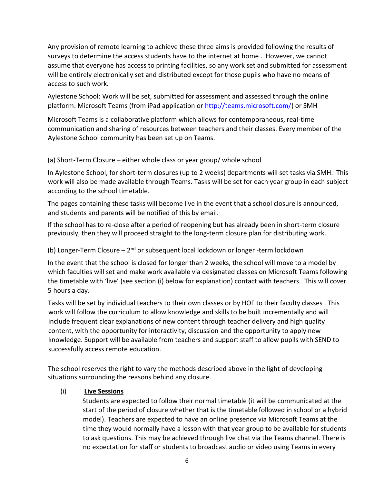Any provision of remote learning to achieve these three aims is provided following the results of surveys to determine the access students have to the internet at home . However, we cannot assume that everyone has access to printing facilities, so any work set and submitted for assessment will be entirely electronically set and distributed except for those pupils who have no means of access to such work.

Aylestone School: Work will be set, submitted for assessment and assessed through the online platform: Microsoft Teams (from iPad application or [http://teams.microsoft.com/\)](http://teams.microsoft.com/) or SMH

Microsoft Teams is a collaborative platform which allows for contemporaneous, real-time communication and sharing of resources between teachers and their classes. Every member of the Aylestone School community has been set up on Teams.

#### (a) Short-Term Closure – either whole class or year group/ whole school

In Aylestone School, for short-term closures (up to 2 weeks) departments will set tasks via SMH. This work will also be made available through Teams. Tasks will be set for each year group in each subject according to the school timetable.

The pages containing these tasks will become live in the event that a school closure is announced, and students and parents will be notified of this by email.

If the school has to re-close after a period of reopening but has already been in short-term closure previously, then they will proceed straight to the long-term closure plan for distributing work.

#### (b) Longer-Term Closure - 2<sup>nd</sup> or subsequent local lockdown or longer -term lockdown

In the event that the school is closed for longer than 2 weeks, the school will move to a model by which faculties will set and make work available via designated classes on Microsoft Teams following the timetable with 'live' (see section (i) below for explanation) contact with teachers. This will cover 5 hours a day.

Tasks will be set by individual teachers to their own classes or by HOF to their faculty classes . This work will follow the curriculum to allow knowledge and skills to be built incrementally and will include frequent clear explanations of new content through teacher delivery and high quality content, with the opportunity for interactivity, discussion and the opportunity to apply new knowledge. Support will be available from teachers and support staff to allow pupils with SEND to successfully access remote education.

The school reserves the right to vary the methods described above in the light of developing situations surrounding the reasons behind any closure.

#### (i) **Live Sessions**

Students are expected to follow their normal timetable (it will be communicated at the start of the period of closure whether that is the timetable followed in school or a hybrid model). Teachers are expected to have an online presence via Microsoft Teams at the time they would normally have a lesson with that year group to be available for students to ask questions. This may be achieved through live chat via the Teams channel. There is no expectation for staff or students to broadcast audio or video using Teams in every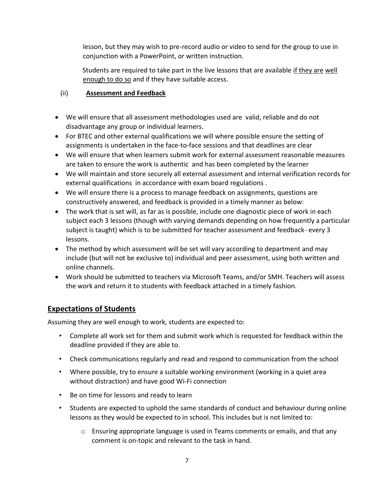lesson, but they may wish to pre-record audio or video to send for the group to use in conjunction with a PowerPoint, or written instruction.

Students are required to take part in the live lessons that are available if they are well enough to do so and if they have suitable access.

# (ii) **Assessment and Feedback**

- We will ensure that all assessment methodologies used are valid, reliable and do not disadvantage any group or individual learners.
- For BTEC and other external qualifications we will where possible ensure the setting of assignments is undertaken in the face-to-face sessions and that deadlines are clear
- We will ensure that when learners submit work for external assessment reasonable measures are taken to ensure the work is authentic and has been completed by the learner
- We will maintain and store securely all external assessment and internal verification records for external qualifications in accordance with exam board regulations .
- We will ensure there is a process to manage feedback on assignments, questions are constructively answered, and feedback is provided in a timely manner as below:
- The work that is set will, as far as is possible, include one diagnostic piece of work in each subject each 3 lessons (though with varying demands depending on how frequently a particular subject is taught) which is to be submitted for teacher assessment and feedback- every 3 lessons.
- The method by which assessment will be set will vary according to department and may include (but will not be exclusive to) individual and peer assessment, using both written and online channels.
- Work should be submitted to teachers via Microsoft Teams, and/or SMH. Teachers will assess the work and return it to students with feedback attached in a timely fashion.

# **Expectations of Students**

Assuming they are well enough to work, students are expected to:

- Complete all work set for them and submit work which is requested for feedback within the deadline provided if they are able to.
- Check communications regularly and read and respond to communication from the school
- Where possible, try to ensure a suitable working environment (working in a quiet area without distraction) and have good Wi-Fi connection
- Be on time for lessons and ready to learn
- Students are expected to uphold the same standards of conduct and behaviour during online lessons as they would be expected to in school. This includes but is not limited to:
	- $\circ$  Ensuring appropriate language is used in Teams comments or emails, and that any comment is on-topic and relevant to the task in hand.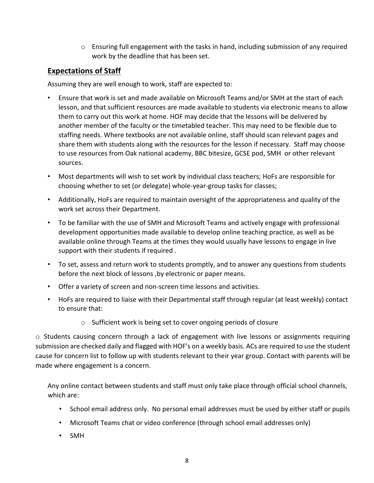o Ensuring full engagement with the tasks in hand, including submission of any required work by the deadline that has been set.

# **Expectations of Staff**

Assuming they are well enough to work, staff are expected to:

- Ensure that work is set and made available on Microsoft Teams and/or SMH at the start of each lesson, and that sufficient resources are made available to students via electronic means to allow them to carry out this work at home. HOF may decide that the lessons will be delivered by another member of the faculty or the timetabled teacher. This may need to be flexible due to staffing needs. Where textbooks are not available online, staff should scan relevant pages and share them with students along with the resources for the lesson if necessary. Staff may choose to use resources from Oak national academy, BBC bitesize, GCSE pod, SMH or other relevant sources.
- Most departments will wish to set work by individual class teachers; HoFs are responsible for choosing whether to set (or delegate) whole-year-group tasks for classes;
- Additionally, HoFs are required to maintain oversight of the appropriateness and quality of the work set across their Department.
- To be familiar with the use of SMH and Microsoft Teams and actively engage with professional development opportunities made available to develop online teaching practice, as well as be available online through Teams at the times they would usually have lessons to engage in live support with their students if required .
- To set, assess and return work to students promptly, and to answer any questions from students before the next block of lessons ,by electronic or paper means.
- Offer a variety of screen and non-screen time lessons and activities.
- HoFs are required to liaise with their Departmental staff through regular (at least weekly) contact to ensure that:
	- o Sufficient work is being set to cover ongoing periods of closure

 $\circ$  Students causing concern through a lack of engagement with live lessons or assignments requiring submission are checked daily and flagged with HOF's on a weekly basis. ACs are required to use the student cause for concern list to follow up with students relevant to their year group. Contact with parents will be made where engagement is a concern.

Any online contact between students and staff must only take place through official school channels, which are:

- School email address only. No personal email addresses must be used by either staff or pupils
- Microsoft Teams chat or video conference (through school email addresses only)
- SMH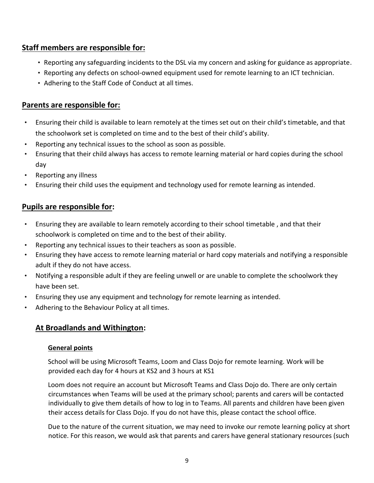# **Staff members are responsible for:**

- Reporting any safeguarding incidents to the DSL via my concern and asking for guidance as appropriate.
- Reporting any defects on school-owned equipment used for remote learning to an ICT technician.
- Adhering to the Staff Code of Conduct at all times.

# **Parents are responsible for:**

- Ensuring their child is available to learn remotely at the times set out on their child's timetable, and that the schoolwork set is completed on time and to the best of their child's ability.
- Reporting any technical issues to the school as soon as possible.
- Ensuring that their child always has access to remote learning material or hard copies during the school day
- Reporting any illness
- Ensuring their child uses the equipment and technology used for remote learning as intended.

# **Pupils are responsible for:**

- Ensuring they are available to learn remotely according to their school timetable , and that their schoolwork is completed on time and to the best of their ability.
- Reporting any technical issues to their teachers as soon as possible.
- Ensuring they have access to remote learning material or hard copy materials and notifying a responsible adult if they do not have access.
- Notifying a responsible adult if they are feeling unwell or are unable to complete the schoolwork they have been set.
- Ensuring they use any equipment and technology for remote learning as intended.
- Adhering to the Behaviour Policy at all times.

# **At Broadlands and Withington:**

#### **General points**

School will be using Microsoft Teams, Loom and Class Dojo for remote learning. Work will be provided each day for 4 hours at KS2 and 3 hours at KS1

Loom does not require an account but Microsoft Teams and Class Dojo do. There are only certain circumstances when Teams will be used at the primary school; parents and carers will be contacted individually to give them details of how to log in to Teams. All parents and children have been given their access details for Class Dojo. If you do not have this, please contact the school office.

Due to the nature of the current situation, we may need to invoke our remote learning policy at short notice. For this reason, we would ask that parents and carers have general stationary resources (such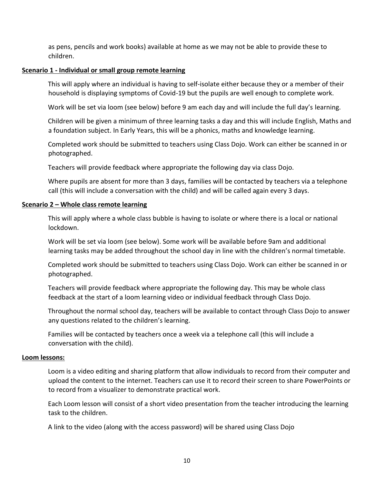as pens, pencils and work books) available at home as we may not be able to provide these to children.

#### **Scenario 1 - Individual or small group remote learning**

This will apply where an individual is having to self-isolate either because they or a member of their household is displaying symptoms of Covid-19 but the pupils are well enough to complete work.

Work will be set via loom (see below) before 9 am each day and will include the full day's learning.

Children will be given a minimum of three learning tasks a day and this will include English, Maths and a foundation subject. In Early Years, this will be a phonics, maths and knowledge learning.

Completed work should be submitted to teachers using Class Dojo. Work can either be scanned in or photographed.

Teachers will provide feedback where appropriate the following day via class Dojo.

Where pupils are absent for more than 3 days, families will be contacted by teachers via a telephone call (this will include a conversation with the child) and will be called again every 3 days.

#### **Scenario 2 – Whole class remote learning**

This will apply where a whole class bubble is having to isolate or where there is a local or national lockdown.

Work will be set via loom (see below). Some work will be available before 9am and additional learning tasks may be added throughout the school day in line with the children's normal timetable.

Completed work should be submitted to teachers using Class Dojo. Work can either be scanned in or photographed.

Teachers will provide feedback where appropriate the following day. This may be whole class feedback at the start of a loom learning video or individual feedback through Class Dojo.

Throughout the normal school day, teachers will be available to contact through Class Dojo to answer any questions related to the children's learning.

Families will be contacted by teachers once a week via a telephone call (this will include a conversation with the child).

#### **Loom lessons:**

Loom is a video editing and sharing platform that allow individuals to record from their computer and upload the content to the internet. Teachers can use it to record their screen to share PowerPoints or to record from a visualizer to demonstrate practical work.

Each Loom lesson will consist of a short video presentation from the teacher introducing the learning task to the children.

A link to the video (along with the access password) will be shared using Class Dojo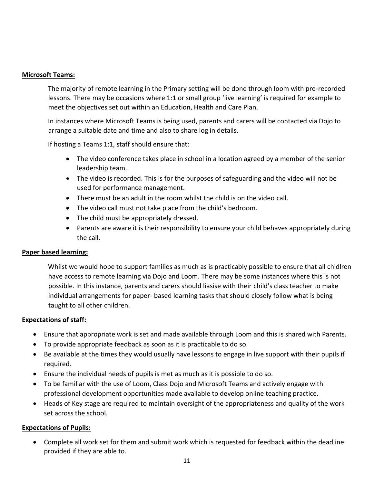#### **Microsoft Teams:**

The majority of remote learning in the Primary setting will be done through loom with pre-recorded lessons. There may be occasions where 1:1 or small group 'live learning' is required for example to meet the objectives set out within an Education, Health and Care Plan.

In instances where Microsoft Teams is being used, parents and carers will be contacted via Dojo to arrange a suitable date and time and also to share log in details.

If hosting a Teams 1:1, staff should ensure that:

- The video conference takes place in school in a location agreed by a member of the senior leadership team.
- The video is recorded. This is for the purposes of safeguarding and the video will not be used for performance management.
- There must be an adult in the room whilst the child is on the video call.
- The video call must not take place from the child's bedroom.
- The child must be appropriately dressed.
- Parents are aware it is their responsibility to ensure your child behaves appropriately during the call.

#### **Paper based learning:**

Whilst we would hope to support families as much as is practicably possible to ensure that all chidlren have access to remote learning via Dojo and Loom. There may be some instances where this is not possible. In this instance, parents and carers should liasise with their child's class teacher to make individual arrangements for paper- based learning tasks that should closely follow what is being taught to all other children.

#### **Expectations of staff:**

- Ensure that appropriate work is set and made available through Loom and this is shared with Parents.
- To provide appropriate feedback as soon as it is practicable to do so.
- Be available at the times they would usually have lessons to engage in live support with their pupils if required.
- Ensure the individual needs of pupils is met as much as it is possible to do so.
- To be familiar with the use of Loom, Class Dojo and Microsoft Teams and actively engage with professional development opportunities made available to develop online teaching practice.
- Heads of Key stage are required to maintain oversight of the appropriateness and quality of the work set across the school.

#### **Expectations of Pupils:**

• Complete all work set for them and submit work which is requested for feedback within the deadline provided if they are able to.